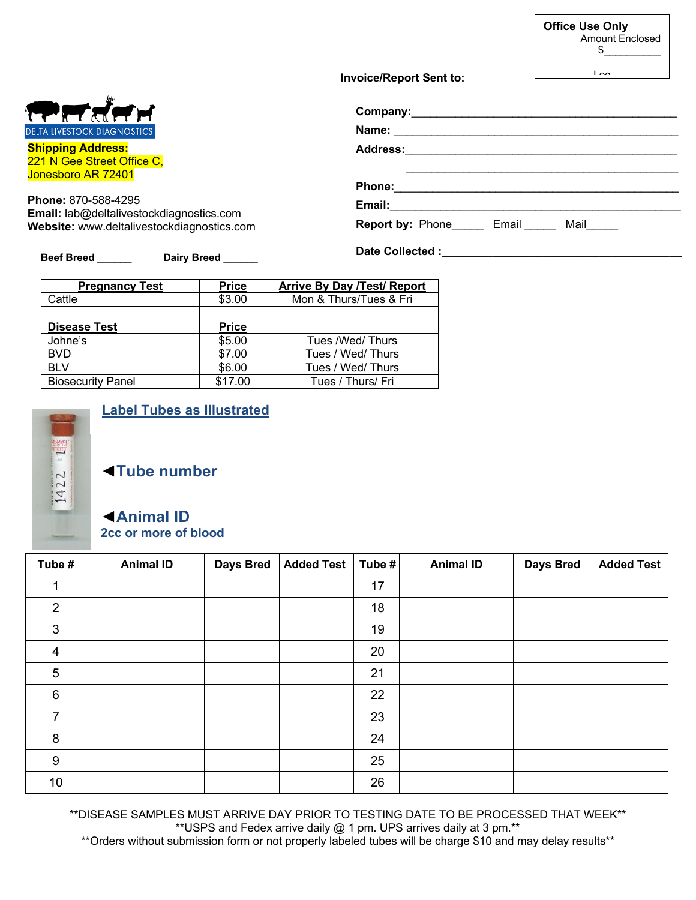|                                                                                                       | <b>Office Use Only</b><br>Amount Enclosed<br>$\frac{1}{\sqrt{2}}$ |
|-------------------------------------------------------------------------------------------------------|-------------------------------------------------------------------|
| <b>Invoice/Report Sent to:</b>                                                                        | $\overline{a}$                                                    |
|                                                                                                       |                                                                   |
|                                                                                                       |                                                                   |
| Address: 2008 2008 2010 2021 2022 2023 2024 2022 2023 2024 2022 2023 2024 2022 2023 2024 2022 2023 20 |                                                                   |
| <b>Phone:</b>                                                                                         |                                                                   |
| Email: <b>Email:</b>                                                                                  |                                                                   |
|                                                                                                       |                                                                   |

## **Beef Breed** \_\_\_\_\_\_ **Dairy Breed** \_\_\_\_\_\_

| <b>Pregnancy Test</b>    | <b>Price</b> | <b>Arrive By Day /Test/ Report</b> |
|--------------------------|--------------|------------------------------------|
| Cattle                   | \$3.00       | Mon & Thurs/Tues & Fri             |
|                          |              |                                    |
| <b>Disease Test</b>      | <b>Price</b> |                                    |
| Johne's                  | \$5.00       | Tues /Wed/Thurs                    |
| <b>BVD</b>               | \$7.00       | Tues / Wed/ Thurs                  |
| <b>BLV</b>               | \$6.00       | Tues / Wed/ Thurs                  |
| <b>Biosecurity Panel</b> | \$17.00      | Tues / Thurs/ Fri                  |



## **Label Tubes as Illustrated**

◄**Tube number**

## ◄**Animal ID 2cc or more of blood**

| Tube #          | <b>Animal ID</b> | <b>Days Bred</b> | Added Test | Tube # | <b>Animal ID</b> | <b>Days Bred</b> | <b>Added Test</b> |
|-----------------|------------------|------------------|------------|--------|------------------|------------------|-------------------|
| 1               |                  |                  |            | 17     |                  |                  |                   |
| 2               |                  |                  |            | 18     |                  |                  |                   |
| 3               |                  |                  |            | 19     |                  |                  |                   |
| $\overline{4}$  |                  |                  |            | 20     |                  |                  |                   |
| $\overline{5}$  |                  |                  |            | 21     |                  |                  |                   |
| $6\phantom{1}6$ |                  |                  |            | 22     |                  |                  |                   |
| 7               |                  |                  |            | 23     |                  |                  |                   |
| 8               |                  |                  |            | 24     |                  |                  |                   |
| 9               |                  |                  |            | 25     |                  |                  |                   |
| 10              |                  |                  |            | 26     |                  |                  |                   |

\*\*DISEASE SAMPLES MUST ARRIVE DAY PRIOR TO TESTING DATE TO BE PROCESSED THAT WEEK\*\* \*\*USPS and Fedex arrive daily @ 1 pm. UPS arrives daily at 3 pm.\*\*

\*\*Orders without submission form or not properly labeled tubes will be charge \$10 and may delay results\*\*



**Shipping Address:** 221 N Gee Street Office C, Jonesboro AR 72401

**Phone:** 870-588-4295 **Email:** lab@deltalivestockdiagnostics.com **Website:** www.deltalivestockdiagnostics.com

**Date Collected :\_\_\_\_\_\_\_\_\_\_\_\_\_\_\_\_\_\_\_\_\_\_\_\_\_\_\_\_\_\_\_\_\_\_\_\_\_\_**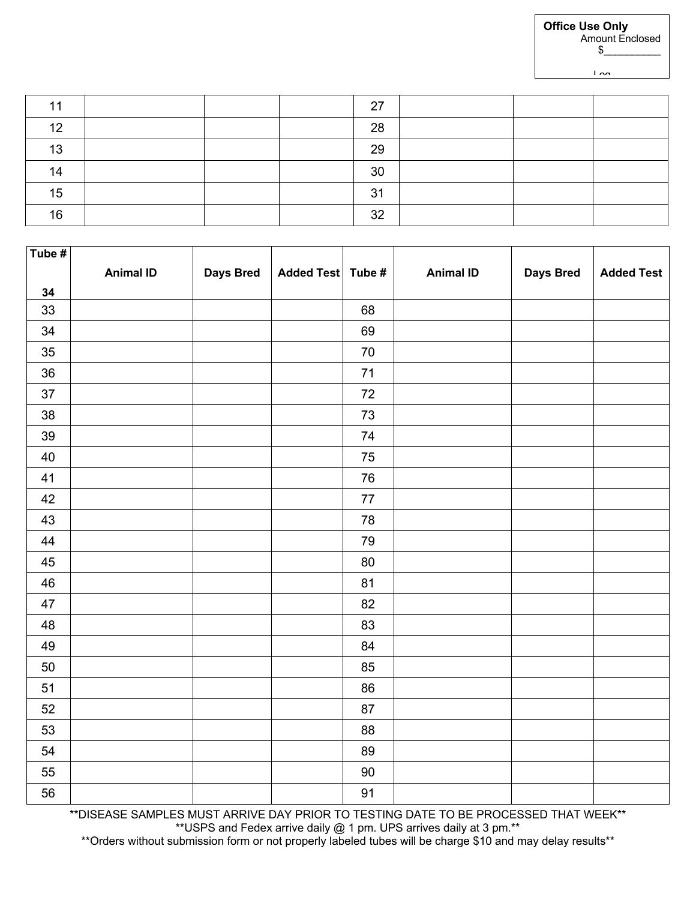| 44 |  | 27 |  |  |
|----|--|----|--|--|
| 12 |  | 28 |  |  |
| 13 |  | 29 |  |  |
| 14 |  | 30 |  |  |
| 15 |  | 31 |  |  |
| 16 |  | 32 |  |  |

| Tube # |                  |                  |                   |            |                  |                  |                   |
|--------|------------------|------------------|-------------------|------------|------------------|------------------|-------------------|
|        | <b>Animal ID</b> | <b>Days Bred</b> | Added Test Tube # |            | <b>Animal ID</b> | <b>Days Bred</b> | <b>Added Test</b> |
| 34     |                  |                  |                   |            |                  |                  |                   |
| 33     |                  |                  |                   | 68         |                  |                  |                   |
| 34     |                  |                  |                   | 69         |                  |                  |                   |
| 35     |                  |                  |                   | $70\,$     |                  |                  |                   |
| 36     |                  |                  |                   | $71$       |                  |                  |                   |
| $37\,$ |                  |                  |                   | $72\,$     |                  |                  |                   |
| 38     |                  |                  |                   | $73\,$     |                  |                  |                   |
| 39     |                  |                  |                   | 74         |                  |                  |                   |
| 40     |                  |                  |                   | 75         |                  |                  |                   |
| 41     |                  |                  |                   | ${\bf 76}$ |                  |                  |                   |
| 42     |                  |                  |                   | $77\,$     |                  |                  |                   |
| 43     |                  |                  |                   | 78         |                  |                  |                   |
| 44     |                  |                  |                   | 79         |                  |                  |                   |
| 45     |                  |                  |                   | 80         |                  |                  |                   |
| 46     |                  |                  |                   | 81         |                  |                  |                   |
| 47     |                  |                  |                   | 82         |                  |                  |                   |
| 48     |                  |                  |                   | 83         |                  |                  |                   |
| 49     |                  |                  |                   | 84         |                  |                  |                   |
| 50     |                  |                  |                   | 85         |                  |                  |                   |
| 51     |                  |                  |                   | 86         |                  |                  |                   |
| 52     |                  |                  |                   | 87         |                  |                  |                   |
| 53     |                  |                  |                   | 88         |                  |                  |                   |
| 54     |                  |                  |                   | 89         |                  |                  |                   |
| 55     |                  |                  |                   | $90\,$     |                  |                  |                   |
| 56     |                  |                  |                   | 91         |                  |                  |                   |

\*\*DISEASE SAMPLES MUST ARRIVE DAY PRIOR TO TESTING DATE TO BE PROCESSED THAT WEEK\*\* \*\*USPS and Fedex arrive daily @ 1 pm. UPS arrives daily at 3 pm.\*\*

\*\*Orders without submission form or not properly labeled tubes will be charge \$10 and may delay results\*\*